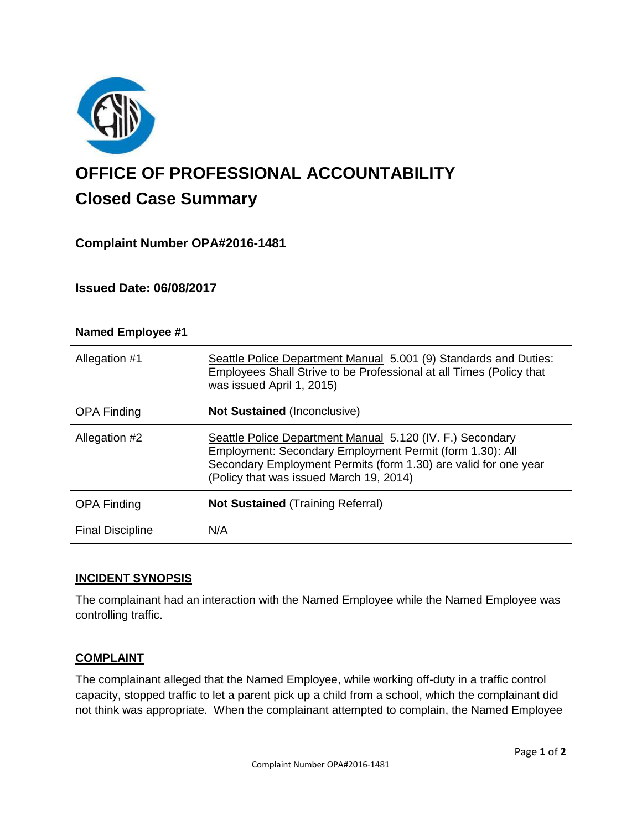

# **OFFICE OF PROFESSIONAL ACCOUNTABILITY Closed Case Summary**

# **Complaint Number OPA#2016-1481**

# **Issued Date: 06/08/2017**

| <b>Named Employee #1</b> |                                                                                                                                                                                                                                     |
|--------------------------|-------------------------------------------------------------------------------------------------------------------------------------------------------------------------------------------------------------------------------------|
| Allegation #1            | Seattle Police Department Manual 5.001 (9) Standards and Duties:<br>Employees Shall Strive to be Professional at all Times (Policy that<br>was issued April 1, 2015)                                                                |
| <b>OPA Finding</b>       | <b>Not Sustained (Inconclusive)</b>                                                                                                                                                                                                 |
| Allegation #2            | Seattle Police Department Manual 5.120 (IV. F.) Secondary<br>Employment: Secondary Employment Permit (form 1.30): All<br>Secondary Employment Permits (form 1.30) are valid for one year<br>(Policy that was issued March 19, 2014) |
| <b>OPA Finding</b>       | <b>Not Sustained (Training Referral)</b>                                                                                                                                                                                            |
| <b>Final Discipline</b>  | N/A                                                                                                                                                                                                                                 |

## **INCIDENT SYNOPSIS**

The complainant had an interaction with the Named Employee while the Named Employee was controlling traffic.

## **COMPLAINT**

The complainant alleged that the Named Employee, while working off-duty in a traffic control capacity, stopped traffic to let a parent pick up a child from a school, which the complainant did not think was appropriate. When the complainant attempted to complain, the Named Employee